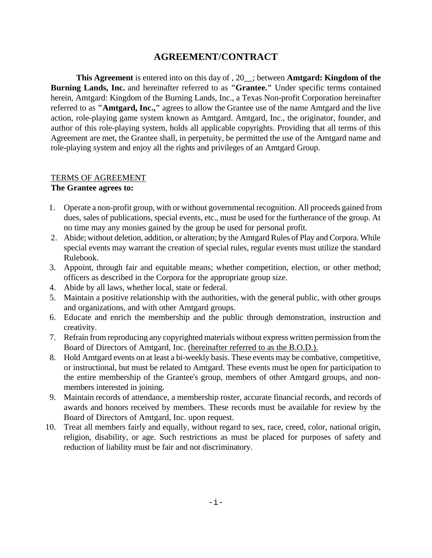# **AGREEMENT/CONTRACT**

**This Agreement** is entered into on this day of , 20\_\_; between **Amtgard: Kingdom of the Burning Lands, Inc.** and hereinafter referred to as **"Grantee."** Under specific terms contained herein, Amtgard: Kingdom of the Burning Lands, Inc., a Texas Non-profit Corporation hereinafter referred to as **"Amtgard, Inc.,"** agrees to allow the Grantee use of the name Amtgard and the live action, role-playing game system known as Amtgard. Amtgard, Inc., the originator, founder, and author of this role-playing system, holds all applicable copyrights. Providing that all terms of this Agreement are met, the Grantee shall, in perpetuity, be permitted the use of the Amtgard name and role-playing system and enjoy all the rights and privileges of an Amtgard Group.

### TERMS OF AGREEMENT

#### **The Grantee agrees to:**

- 1. Operate a non-profit group, with or without governmental recognition. All proceeds gained from dues, sales of publications, special events, etc., must be used for the furtherance of the group. At no time may any monies gained by the group be used for personal profit.
- 2. Abide; without deletion, addition, or alteration; by the Amtgard Rules of Play and Corpora. While special events may warrant the creation of special rules, regular events must utilize the standard Rulebook.
- 3. Appoint, through fair and equitable means; whether competition, election, or other method; officers as described in the Corpora for the appropriate group size.
- 4. Abide by all laws, whether local, state or federal.
- 5. Maintain a positive relationship with the authorities, with the general public, with other groups and organizations, and with other Amtgard groups.
- 6. Educate and enrich the membership and the public through demonstration, instruction and creativity.
- 7. Refrain from reproducing any copyrighted materials without express written permission from the Board of Directors of Amtgard, Inc. (hereinafter referred to as the B.O.D.).
- 8. Hold Amtgard events on at least a bi-weekly basis. These events may be combative, competitive, or instructional, but must be related to Amtgard. These events must be open for participation to the entire membership of the Grantee's group, members of other Amtgard groups, and nonmembers interested in joining.
- 9. Maintain records of attendance, a membership roster, accurate financial records, and records of awards and honors received by members. These records must be available for review by the Board of Directors of Amtgard, Inc. upon request.
- 10. Treat all members fairly and equally, without regard to sex, race, creed, color, national origin, religion, disability, or age. Such restrictions as must be placed for purposes of safety and reduction of liability must be fair and not discriminatory.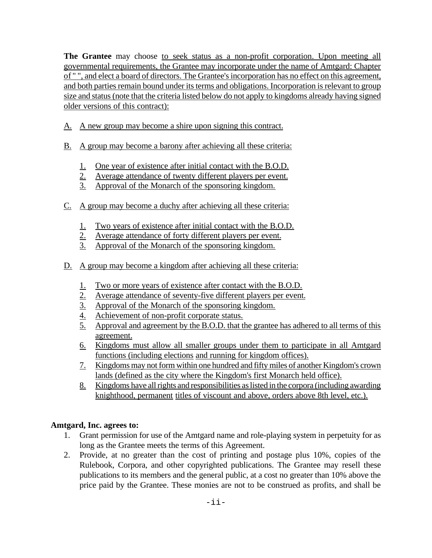**The Grantee** may choose to seek status as a non-profit corporation. Upon meeting all governmental requirements, the Grantee may incorporate under the name of Amtgard: Chapter of " ", and elect a board of directors. The Grantee's incorporation has no effect on this agreement, and both parties remain bound under its terms and obligations. Incorporation is relevant to group size and status (note that the criteria listed below do not apply to kingdoms already having signed older versions of this contract):

- A. A new group may become a shire upon signing this contract.
- B. A group may become a barony after achieving all these criteria:
	- 1. One year of existence after initial contact with the B.O.D.
	- 2. Average attendance of twenty different players per event.
	- 3. Approval of the Monarch of the sponsoring kingdom.
- C. A group may become a duchy after achieving all these criteria:
	- 1. Two years of existence after initial contact with the B.O.D.
	- 2. Average attendance of forty different players per event.
	- 3. Approval of the Monarch of the sponsoring kingdom.
- D. A group may become a kingdom after achieving all these criteria:
	- 1. Two or more years of existence after contact with the B.O.D.
	- 2. Average attendance of seventy-five different players per event.
	- 3. Approval of the Monarch of the sponsoring kingdom.
	- 4. Achievement of non-profit corporate status.
	- 5. Approval and agreement by the B.O.D. that the grantee has adhered to all terms of this agreement.
	- 6. Kingdoms must allow all smaller groups under them to participate in all Amtgard functions (including elections and running for kingdom offices).
	- 7. Kingdoms may not form within one hundred and fifty miles of another Kingdom's crown lands (defined as the city where the Kingdom's first Monarch held office).
	- 8. Kingdoms have all rights and responsibilities as listed in the corpora (including awarding knighthood, permanent titles of viscount and above, orders above 8th level, etc.).

## **Amtgard, Inc. agrees to:**

- 1. Grant permission for use of the Amtgard name and role-playing system in perpetuity for as long as the Grantee meets the terms of this Agreement.
- 2. Provide, at no greater than the cost of printing and postage plus 10%, copies of the Rulebook, Corpora, and other copyrighted publications. The Grantee may resell these publications to its members and the general public, at a cost no greater than 10% above the price paid by the Grantee. These monies are not to be construed as profits, and shall be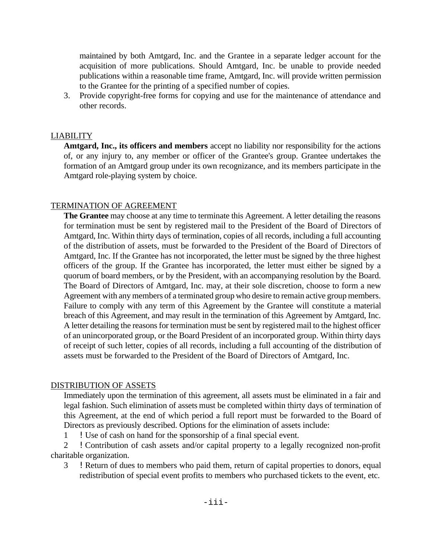maintained by both Amtgard, Inc. and the Grantee in a separate ledger account for the acquisition of more publications. Should Amtgard, Inc. be unable to provide needed publications within a reasonable time frame, Amtgard, Inc. will provide written permission to the Grantee for the printing of a specified number of copies.

3. Provide copyright-free forms for copying and use for the maintenance of attendance and other records.

### LIABILITY

**Amtgard, Inc., its officers and members** accept no liability nor responsibility for the actions of, or any injury to, any member or officer of the Grantee's group. Grantee undertakes the formation of an Amtgard group under its own recognizance, and its members participate in the Amtgard role-playing system by choice.

### TERMINATION OF AGREEMENT

**The Grantee** may choose at any time to terminate this Agreement. A letter detailing the reasons for termination must be sent by registered mail to the President of the Board of Directors of Amtgard, Inc. Within thirty days of termination, copies of all records, including a full accounting of the distribution of assets, must be forwarded to the President of the Board of Directors of Amtgard, Inc. If the Grantee has not incorporated, the letter must be signed by the three highest officers of the group. If the Grantee has incorporated, the letter must either be signed by a quorum of board members, or by the President, with an accompanying resolution by the Board. The Board of Directors of Amtgard, Inc. may, at their sole discretion, choose to form a new Agreement with any members of a terminated group who desire to remain active group members. Failure to comply with any term of this Agreement by the Grantee will constitute a material breach of this Agreement, and may result in the termination of this Agreement by Amtgard, Inc. A letter detailing the reasons for termination must be sent by registered mail to the highest officer of an unincorporated group, or the Board President of an incorporated group. Within thirty days of receipt of such letter, copies of all records, including a full accounting of the distribution of assets must be forwarded to the President of the Board of Directors of Amtgard, Inc.

### DISTRIBUTION OF ASSETS

Immediately upon the termination of this agreement, all assets must be eliminated in a fair and legal fashion. Such elimination of assets must be completed within thirty days of termination of this Agreement, at the end of which period a full report must be forwarded to the Board of Directors as previously described. Options for the elimination of assets include:

1 !Use of cash on hand for the sponsorship of a final special event.

2 !Contribution of cash assets and/or capital property to a legally recognized non-profit charitable organization.

3 !Return of dues to members who paid them, return of capital properties to donors, equal redistribution of special event profits to members who purchased tickets to the event, etc.